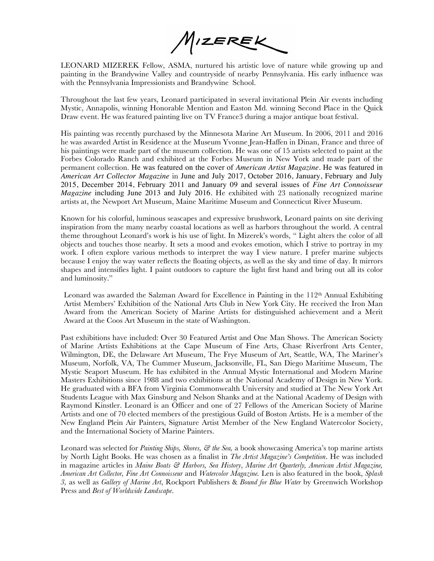MIZEREK

LEONARD MIZEREK Fellow, ASMA, nurtured his artistic love of nature while growing up and painting in the Brandywine Valley and countryside of nearby Pennsylvania. His early influence was with the Pennsylvania Impressionists and Brandywine School.

Throughout the last few years, Leonard participated in several invitational Plein Air events including Mystic, Annapolis, winning Honorable Mention and Easton Md. winning Second Place in the Quick Draw event. He was featured painting live on TV France3 during a major antique boat festival.

His painting was recently purchased by the Minnesota Marine Art Museum. In 2006, 2011 and 2016 he was awarded Artist in Residence at the Museum Yvonne Jean-Haffen in Dinan, France and three of his paintings were made part of the museum collection. He was one of 15 artists selected to paint at the Forbes Colorado Ranch and exhibited at the Forbes Museum in New York and made part of the permanent collection. He was featured on the cover of *American Artist Magazine.* He was featured in *American Art Collector Magazine* in June and July 2017, October 2016, January, February and July 2015, December 2014, February 2011 and January 09 and several issues of *Fine Art Connoisseur Magazine* including June 2013 and July 2016. He exhibited with 23 nationally recognized marine artists at, the Newport Art Museum, Maine Maritime Museum and Connecticut River Museum.

Known for his colorful, luminous seascapes and expressive brushwork, Leonard paints on site deriving inspiration from the many nearby coastal locations as well as harbors throughout the world. A central theme throughout Leonard's work is his use of light. In Mizerek's words, " Light alters the color of all objects and touches those nearby. It sets a mood and evokes emotion, which I strive to portray in my work. I often explore various methods to interpret the way I view nature. I prefer marine subjects because I enjoy the way water reflects the floating objects, as well as the sky and time of day. It mirrors shapes and intensifies light. I paint outdoors to capture the light first hand and bring out all its color and luminosity."

Leonard was awarded the Salzman Award for Excellence in Painting in the 112th Annual Exhibiting Artist Members' Exhibition of the National Arts Club in New York City. He received the Iron Man Award from the American Society of Marine Artists for distinguished achievement and a Merit Award at the Coos Art Museum in the state of Washington.

Past exhibitions have included: Over 30 Featured Artist and One Man Shows. The American Society of Marine Artists Exhibitions at the Cape Museum of Fine Arts, Chase Riverfront Arts Center, Wilmington, DE, the Delaware Art Museum, The Frye Museum of Art, Seattle, WA, The Mariner's Museum, Norfolk, VA, The Cummer Museum, Jacksonville, FL, San Diego Maritime Museum, The Mystic Seaport Museum. He has exhibited in the Annual Mystic International and Modern Marine Masters Exhibitions since 1988 and two exhibitions at the National Academy of Design in New York. He graduated with a BFA from Virginia Commonwealth University and studied at The New York Art Students League with Max Ginsburg and Nelson Shanks and at the National Academy of Design with Raymond Kinstler. Leonard is an Officer and one of 27 Fellows of the American Society of Marine Artists and one of 70 elected members of the prestigious Guild of Boston Artists. He is a member of the New England Plein Air Painters, Signature Artist Member of the New England Watercolor Society, and the International Society of Marine Painters.

Leonard was selected for *Painting Ships, Shores, & the Sea*, a book showcasing America's top marine artists by North Light Books. He was chosen as a finalist in *The Artist Magazine's Competition*. He was included in magazine articles in *Maine Boats & Harbors, Sea History*, *Marine Art Quarterly, American Artist Magazine, American Art Collector, Fine Art Connoisseur* and *Watercolor Magazine.* Len is also featured in the book, *Splash 3,* as well as *Gallery of Marine Art*, Rockport Publishers & *Bound for Blue Water* by Greenwich Workshop Press and *Best of Worldwide Landscape*.